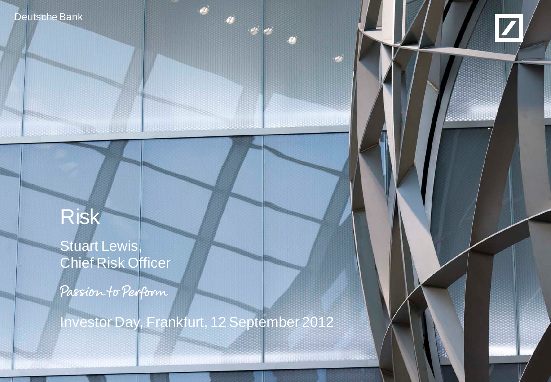



financial transparency of the control of the control of the control of the control of the control of the control of

# Risk

**Service Office Address** 

Deutsche Bank Investor Relations

Stuart Lewis, Chief Risk Officer

Passion to Perform

Investor Day, Frankfurt, 12 September 2012

Investor Day, Frankfurt, 12 September 2012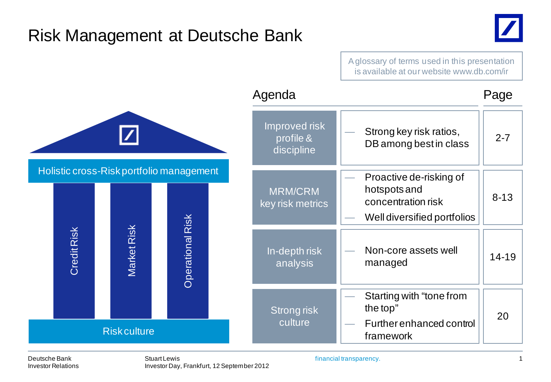### Risk Management at Deutsche Bank



Credit Risk Market Risk Operational Risk Holistic cross-Risk portfolio management Risk culture Agenda Improved risk profile & discipline Strong key risk ratios,  $\left| \begin{array}{c} 2-7 \\ 2-7 \end{array} \right|$ Strong risk culture Starting with "tone from the top" — Further enhanced control framework 20 In-depth risk analysis — Non-core assets well  $m$ anaged  $\left| \right|$  14-19 Page Proactive de-risking of hotspots and concentration risk 8-13 MRM/CRM Well diversified portfolios key risk metrics A glossary of terms used in this presentation is available at our website www.db.com/ir

Deutsche Bank Investor Relations

Stuart Lewis Investor Day, Frankfurt, 12 September 2012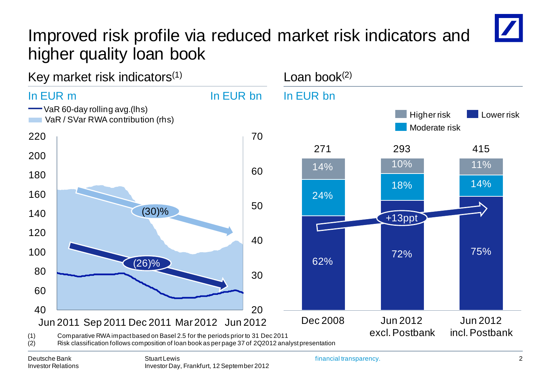## Improved risk profile via reduced market risk indicators and higher quality loan book



Deutsche Bank Investor Relations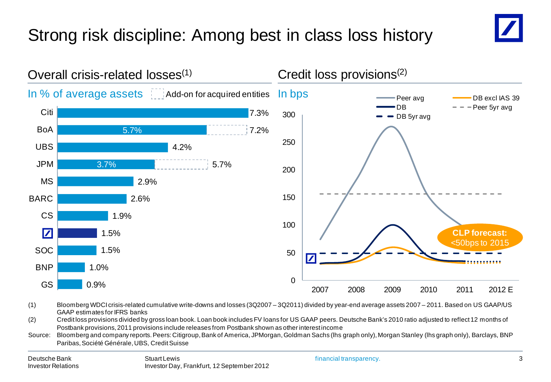## Strong risk discipline: Among best in class loss history





- (1) Bloomberg WDCI crisis-related cumulative write-downs and losses (3Q2007 3Q2011) divided by year-end average assets 2007 2011. Based on US GAAP/US GAAP estimates for IFRS banks
- (2) Credit loss provisions divided by gross loan book. Loan book includes FV loans for US GAAP peers. Deutsche Bank's 2010 ratio adjusted to reflect 12 months of Postbank provisions, 2011 provisions include releases from Postbank shown as other interest income
- Source: Bloomberg and company reports. Peers: Citigroup, Bank of America, JPMorgan, Goldman Sachs (lhs graph only), Morgan Stanley (lhs graph only), Barclays, BNP Paribas, Société Générale, UBS, Credit Suisse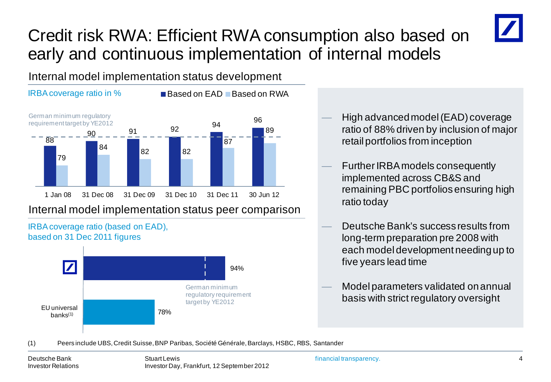## Credit risk RWA: Efficient RWA consumption also based on early and continuous implementation of internal models



Internal model implementation status development



Internal model implementation status peer comparison



- High advanced model (EAD) coverage ratio of 88% driven by inclusion of major retail portfolios from inception
- Further IRBA models consequently implemented across CB&S and remaining PBC portfolios ensuring high ratio today
- Deutsche Bank's success results from long-term preparation pre 2008 with each model development needing up to five years lead time
- Model parameters validated on annual basis with strict regulatory oversight
- (1) Peers include UBS, Credit Suisse, BNP Paribas, Société Générale, Barclays, HSBC, RBS, Santander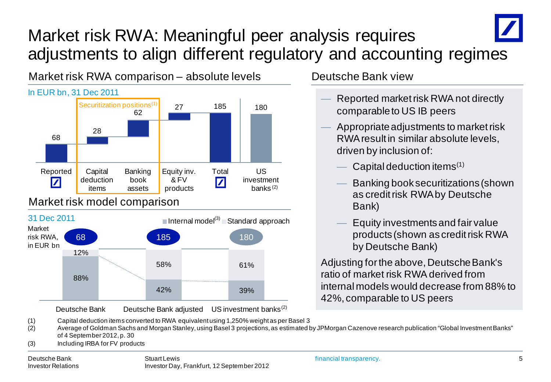## Market risk RWA: Meaningful peer analysis requires adjustments to align different regulatory and accounting regimes



Deutsche Bank view

- Reported market risk RWA not directly comparable to US IB peers
- Appropriate adjustments to market risk RWA result in similar absolute levels, driven by inclusion of:
	- Capital deduction items $(1)$
	- Banking book securitizations (shown as credit risk RWA by Deutsche Bank)
	- Equity investments and fair value products (shown as credit risk RWA by Deutsche Bank)

Adjusting for the above, Deutsche Bank's ratio of market risk RWA derived from internal models would decrease from 88% to 42%, comparable to US peers

(2) Average of Goldman Sachs and Morgan Stanley, using Basel 3 projections, as estimated by JPMorgan Cazenove research publication "Global Investment Banks" of 4 September 2012, p. 30

(3) Including IRBA for FV products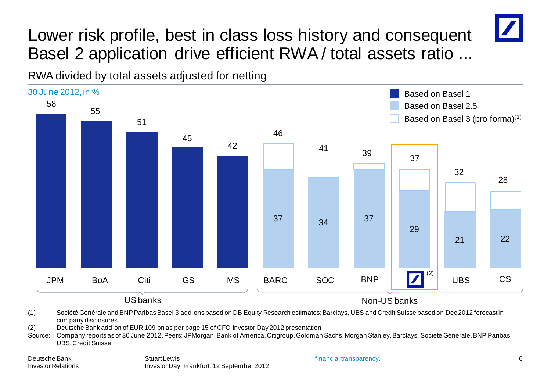

RWA divided by total assets adjusted for netting



(1) Société Générale and BNP Paribas Basel 3 add-ons based on DB Equity Research estimates; Barclays, UBS and Credit Suisse based on Dec 2012 forecast in company disclosures

(2) Deutsche Bank add-on of EUR 109 bn as per page 15 of CFO Investor Day 2012 presentation

Source: Company reports as of 30 June 2012. Peers: JPMorgan, Bank of America, Citigroup, Goldman Sachs, Morgan Stanley, Barclays, Société Générale, BNP Paribas, UBS, Credit Suisse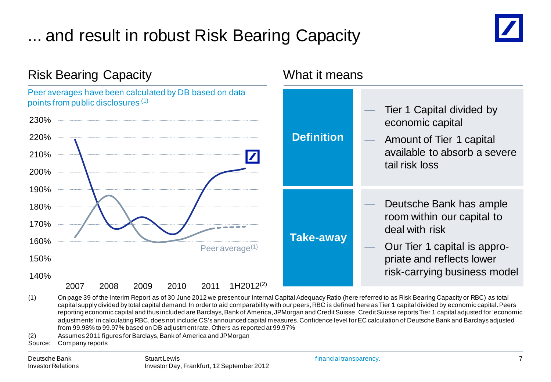## ... and result in robust Risk Bearing Capacity





(1) On page 39 of the Interim Report as of 30 June 2012 we present our Internal Capital Adequacy Ratio (here referred to as Risk Bearing Capacity or RBC) as total capital supply divided by total capital demand. In order to aid comparability with our peers, RBC is defined here as Tier 1 capital divided by economic capital. Peers reporting economic capital and thus included are Barclays, Bank of America, JPMorgan and Credit Suisse. Credit Suisse reports Tier 1 capital adjusted for 'economic adjustments' in calculating RBC, does not include CS's announced capital measures. Confidence level for EC calculation of Deutsche Bank and Barclays adjusted from 99.98% to 99.97% based on DB adjustment rate. Others as reported at 99.97%

(2) Assumes 2011 figures for Barclays, Bank of America and JPMorgan

Source: Company reports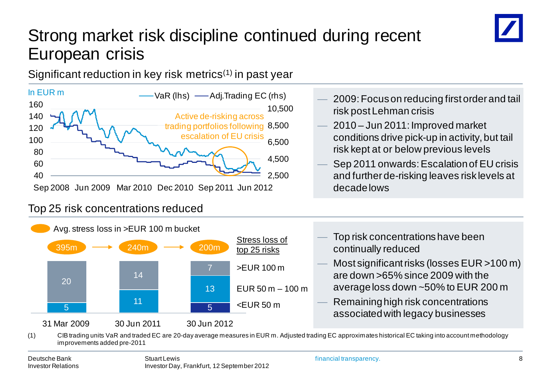## Strong market risk discipline continued during recent European crisis

Significant reduction in key risk metrics<sup>(1)</sup> in past year



#### Top 25 risk concentrations reduced



- 2009: Focus on reducing first order and tail risk post Lehman crisis
- 2010 Jun 2011: Improved market conditions drive pick-up in activity, but tail risk kept at or below previous levels
- Sep 2011 onwards: Escalation of EU crisis and further de-risking leaves risk levels at
- Top risk concentrations have been continually reduced
- Most significant risks (losses EUR >100 m) are down >65% since 2009 with the average loss down ~50% to EUR 200 m
- Remaining high risk concentrations associated with legacy businesses

(1) CIB trading units VaR and traded EC are 20-day average measures in EUR m. Adjusted trading EC approximates historical EC taking into account methodology improvements added pre-2011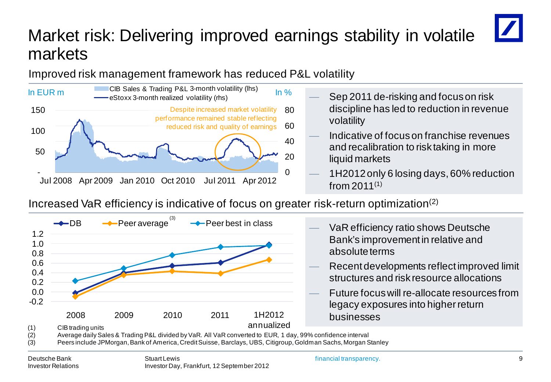## Market risk: Delivering improved earnings stability in volatile markets

Improved risk management framework has reduced P&L volatility



- Sep 2011 de-risking and focus on risk discipline has led to reduction in revenue volatility
- Indicative of focus on franchise revenues and recalibration to risk taking in more liquid markets
- 1H2012 only 6 losing days, 60% reduction from  $2011^{(1)}$

Increased VaR efficiency is indicative of focus on greater risk-return optimization(2)



(2) Average daily Sales & Trading P&L divided by VaR. All VaR converted to EUR, 1 day, 99% confidence interval

(3) Peers include JPMorgan, Bank of America, Credit Suisse, Barclays, UBS, Citigroup, Goldman Sachs, Morgan Stanley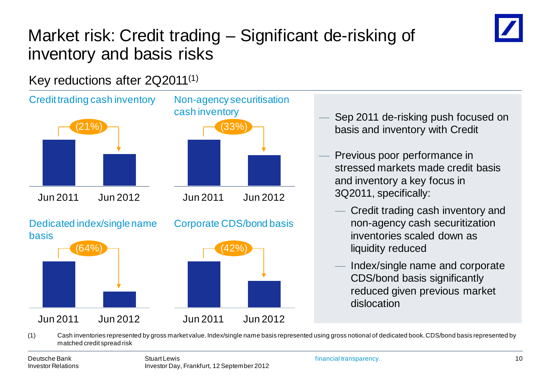

## Market risk: Credit trading – Significant de-risking of inventory and basis risks

Key reductions after 2Q2011(1)



matched credit spread risk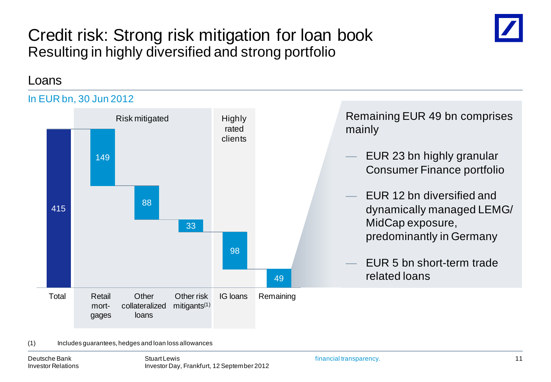### Credit risk: Strong risk mitigation for loan book Resulting in highly diversified and strong portfolio



#### Loans



#### (1) Includes guarantees, hedges and loan loss allowances

Deutsche Bank Investor Relations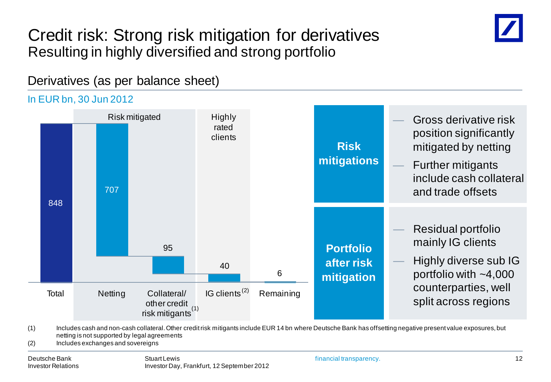### Credit risk: Strong risk mitigation for derivatives Resulting in highly diversified and strong portfolio



Derivatives (as per balance sheet)

#### In EUR bn, 30 Jun 2012



(1) Includes cash and non-cash collateral. Other credit risk mitigants include EUR 14 bn where Deutsche Bank has offsetting negative present value exposures, but netting is not supported by legal agreements

(2) Includes exchanges and sovereigns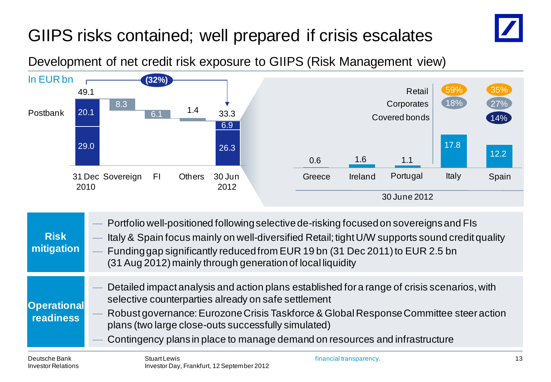## GIIPS risks contained; well prepared if crisis escalates



Development of net credit risk exposure to GIIPS (Risk Management view)



- **mitigation** — Funding gap significantly reduced from EUR 19 bn (31 Dec 2011) to EUR 2.5 bn (31 Aug 2012) mainly through generation of local liquidity
- **Operational**  — Detailed impact analysis and action plans established for a range of crisis scenarios, with selective counterparties already on safe settlement
- **readiness** — Robust governance: EurozoneCrisis Taskforce & Global Response Committee steer action plans (two large close-outs successfully simulated)
	- Contingency plans in place to manage demand on resources and infrastructure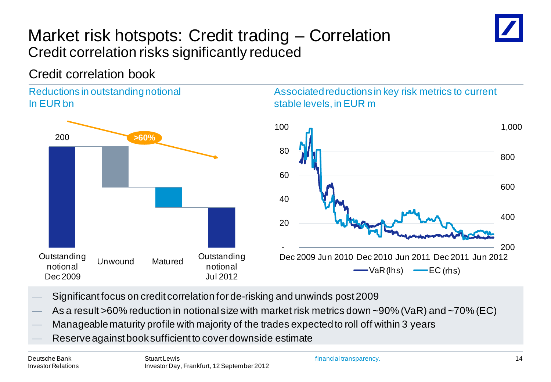### Market risk hotspots: Credit trading – Correlation Credit correlation risks significantly reduced



#### Reductions in outstanding notional In EUR bn



#### Associated reductions in key risk metrics to current stable levels, in EUR m



- Significant focus on credit correlation for de-risking and unwinds post 2009
- As a result >60% reduction in notional size with market risk metrics down ~90% (VaR) and ~70% (EC)
- Manageable maturity profile with majority of the trades expected to roll off within 3 years
- Reserve against book sufficient to cover downside estimate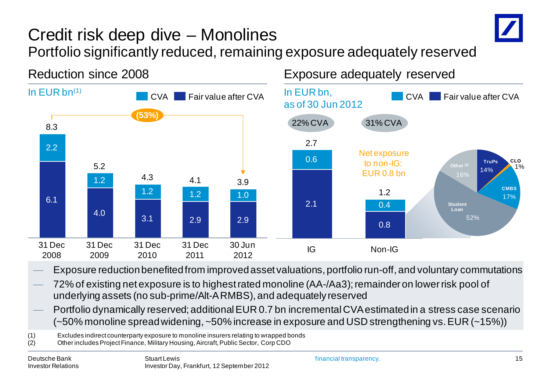

### Credit risk deep dive – Monolines Portfolio significantly reduced, remaining exposure adequately reserved





- Exposure reduction benefited from improved asset valuations, portfolio run-off, and voluntary commutations
- 72% of existing net exposure is to highest rated monoline (AA-/Aa3); remainder on lower risk pool of underlying assets (no sub-prime/Alt-A RMBS), and adequately reserved
- Portfolio dynamically reserved; additional EUR 0.7 bn incremental CVA estimated in a stress case scenario (~50% monoline spread widening, ~50% increase in exposure and USD strengthening vs. EUR (~15%))

(1) Excludes indirect counterparty exposure to monoline insurers relating to wrapped bonds

<sup>(2)</sup> Other includes Project Finance, Military Housing, Aircraft, Public Sector, Corp CDO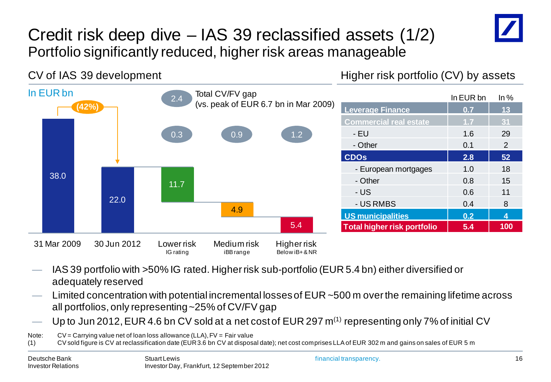

### Credit risk deep dive – IAS 39 reclassified assets (1/2) Portfolio significantly reduced, higher risk areas manageable

#### CV of IAS 39 development

Higher risk portfolio (CV) by assets



- IAS 39 portfolio with >50% IG rated. Higher risk sub-portfolio (EUR 5.4 bn) either diversified or adequately reserved
- Limited concentration with potential incremental losses of  $EUR 500$  m over the remaining lifetime across all portfolios, only representing ~25% of CV/FV gap
- Up to Jun 2012, EUR 4.6 bn CV sold at a net cost of EUR 297  $m^{(1)}$  representing only 7% of initial CV

Note:  $CV = Carvina value$  net of loan loss allowance (LLA),  $FV = Fair$  value

(1) CV sold figure is CV at reclassification date (EUR 3.6 bn CV at disposal date); net cost comprises LLA of EUR 302 m and gains on sales of EUR 5 m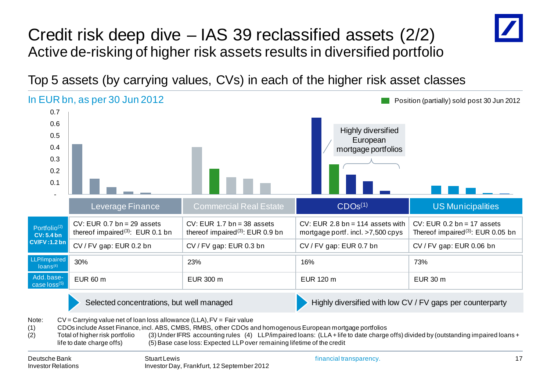### Credit risk deep dive – IAS 39 reclassified assets (2/2) Active de-risking of higher risk assets results in diversified portfolio



Top 5 assets (by carrying values, CVs) in each of the higher risk asset classes

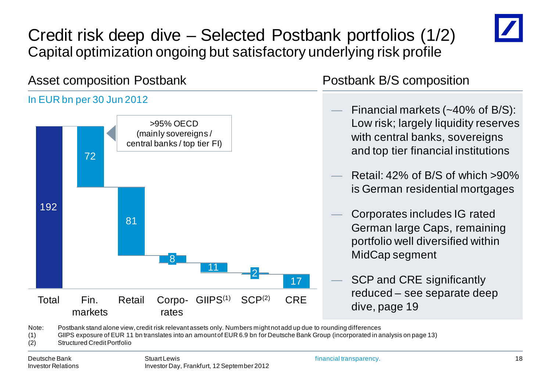

### Credit risk deep dive – Selected Postbank portfolios (1/2) Capital optimization ongoing but satisfactory underlying risk profile

#### Asset composition Postbank

#### In EUR bn per 30 Jun 2012



#### Postbank B/S composition

- Financial markets  $(-40\% \text{ of } B/S)$ : Low risk; largely liquidity reserves with central banks, sovereigns and top tier financial institutions
- Retail:  $42\%$  of B/S of which  $>90\%$ is German residential mortgages
- Corporates includes IG rated German large Caps, remaining portfolio well diversified within MidCap segment
	- SCP and CRE significantly reduced – see separate deep dive, page 19

Note: Postbank stand alone view, credit risk relevant assets only. Numbers might not add up due to rounding differences

(1) GIIPS exposure of EUR 11 bn translates into an amount of EUR 6.9 bn for Deutsche Bank Group (incorporated in analysis on page 13)

(2) Structured Credit Portfolio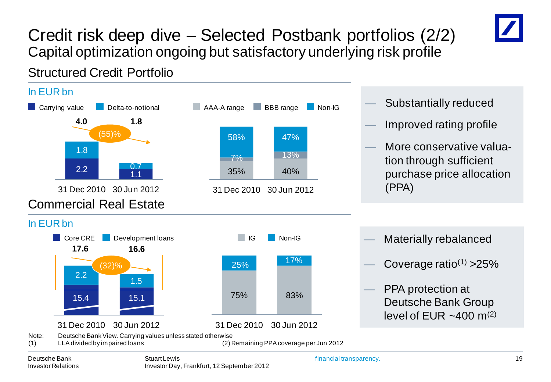

### Credit risk deep dive – Selected Postbank portfolios (2/2) Capital optimization ongoing but satisfactory underlying risk profile

Structured Credit Portfolio

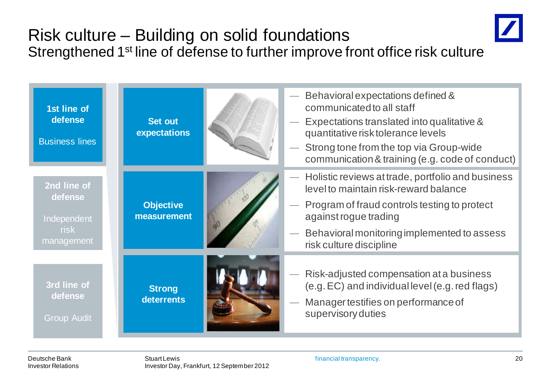## Risk culture – Building on solid foundations Strengthened 1<sup>st</sup> line of defense to further improve front office risk culture



Deutsche Bank Investor Relations